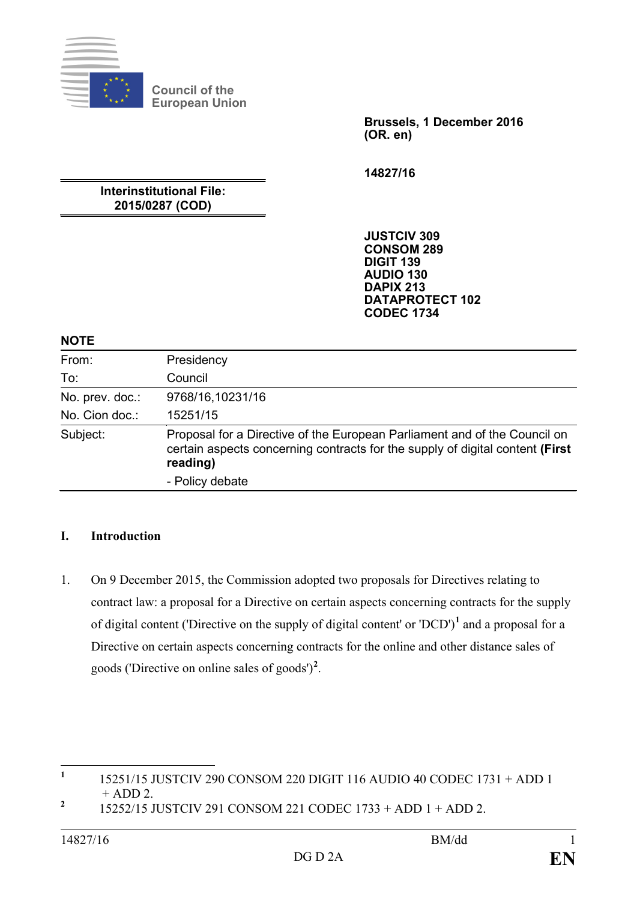

**Council of the European Union**

> **Brussels, 1 December 2016 (OR. en)**

**14827/16**

## **Interinstitutional File: 2015/0287 (COD)**

**JUSTCIV 309 CONSOM 289 DIGIT 139 AUDIO 130 DAPIX 213 DATAPROTECT 102 CODEC 1734**

#### **NOTE**

| From:           | Presidency                                                                                                                                                             |
|-----------------|------------------------------------------------------------------------------------------------------------------------------------------------------------------------|
| To:             | Council                                                                                                                                                                |
| No. prev. doc.: | 9768/16,10231/16                                                                                                                                                       |
| No. Cion doc.:  | 15251/15                                                                                                                                                               |
| Subject:        | Proposal for a Directive of the European Parliament and of the Council on<br>certain aspects concerning contracts for the supply of digital content (First<br>reading) |
|                 | - Policy debate                                                                                                                                                        |

#### **I. Introduction**

1. On 9 December 2015, the Commission adopted two proposals for Directives relating to contract law: a proposal for a Directive on certain aspects concerning contracts for the supply of digital content ('Directive on the supply of digital content' or 'DCD') **[1](#page-0-0)** and a proposal for a Directive on certain aspects concerning contracts for the online and other distance sales of goods ('Directive on online sales of goods')**[2](#page-0-1)** .

<span id="page-0-0"></span>**<sup>1</sup>** 15251/15 JUSTCIV 290 CONSOM 220 DIGIT 116 AUDIO 40 CODEC 1731 + ADD 1 + ADD 2. **<sup>2</sup>** 15252/15 JUSTCIV 291 CONSOM 221 CODEC 1733 + ADD 1 + ADD 2.

<span id="page-0-1"></span>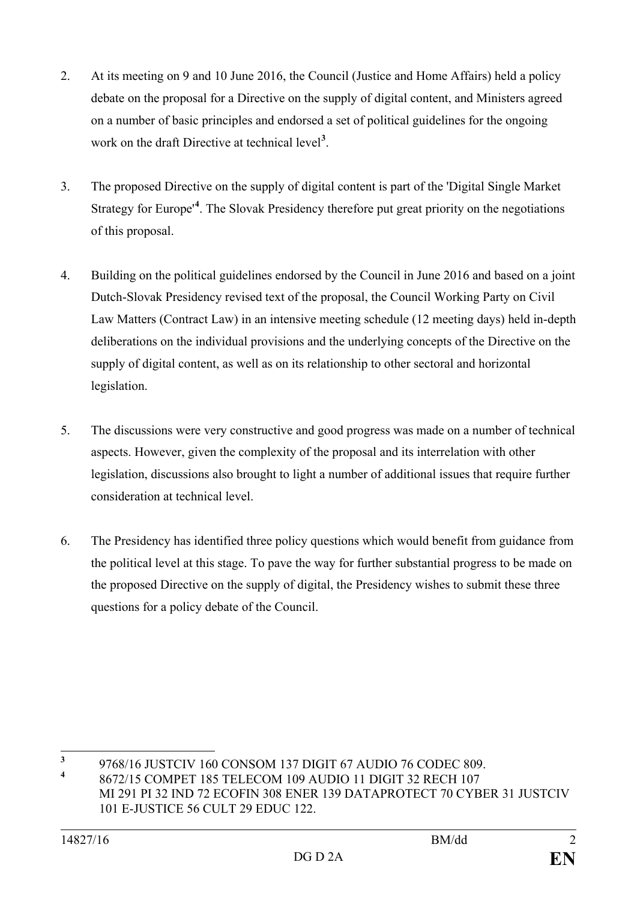- 2. At its meeting on 9 and 10 June 2016, the Council (Justice and Home Affairs) held a policy debate on the proposal for a Directive on the supply of digital content, and Ministers agreed on a number of basic principles and endorsed a set of political guidelines for the ongoing work on the draft Directive at technical level**[3](#page-1-0)** .
- 3. The proposed Directive on the supply of digital content is part of the 'Digital Single Market Strategy for Europe'**[4](#page-1-1)** . The Slovak Presidency therefore put great priority on the negotiations of this proposal.
- 4. Building on the political guidelines endorsed by the Council in June 2016 and based on a joint Dutch-Slovak Presidency revised text of the proposal, the Council Working Party on Civil Law Matters (Contract Law) in an intensive meeting schedule (12 meeting days) held in-depth deliberations on the individual provisions and the underlying concepts of the Directive on the supply of digital content, as well as on its relationship to other sectoral and horizontal legislation.
- 5. The discussions were very constructive and good progress was made on a number of technical aspects. However, given the complexity of the proposal and its interrelation with other legislation, discussions also brought to light a number of additional issues that require further consideration at technical level.
- 6. The Presidency has identified three policy questions which would benefit from guidance from the political level at this stage. To pave the way for further substantial progress to be made on the proposed Directive on the supply of digital, the Presidency wishes to submit these three questions for a policy debate of the Council.

<span id="page-1-0"></span><sup>&</sup>lt;sup>3</sup> 9768/16 JUSTCIV 160 CONSOM 137 DIGIT 67 AUDIO 76 CODEC 809.

<span id="page-1-1"></span>**<sup>4</sup>** 8672/15 COMPET 185 TELECOM 109 AUDIO 11 DIGIT 32 RECH 107

MI 291 PI 32 IND 72 ECOFIN 308 ENER 139 DATAPROTECT 70 CYBER 31 JUSTCIV 101 E-JUSTICE 56 CULT 29 EDUC 122.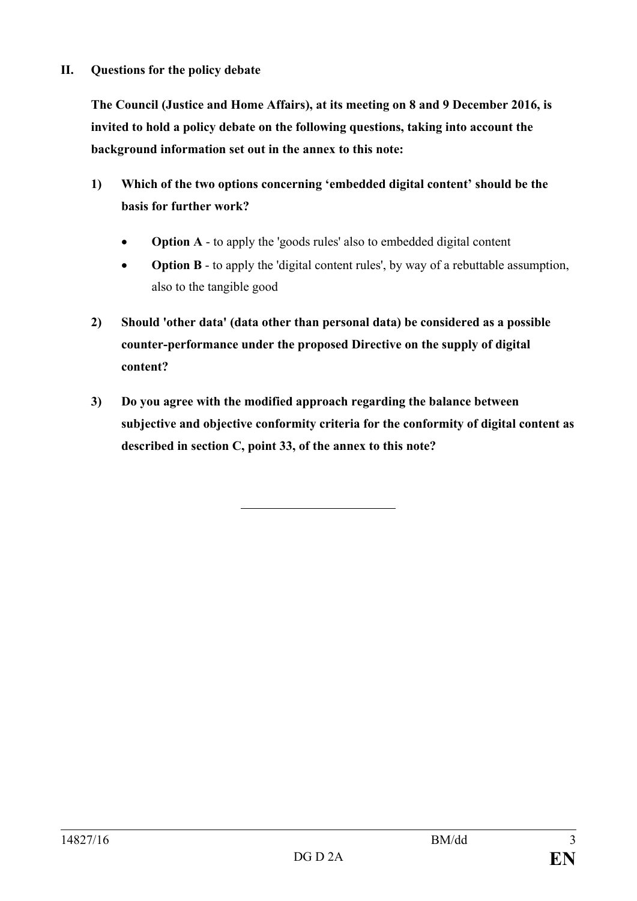#### **II. Questions for the policy debate**

**The Council (Justice and Home Affairs), at its meeting on 8 and 9 December 2016, is invited to hold a policy debate on the following questions, taking into account the background information set out in the annex to this note:**

- **1) Which of the two options concerning 'embedded digital content' should be the basis for further work?**
	- **Option A** to apply the 'goods rules' also to embedded digital content
	- **Option B** to apply the 'digital content rules', by way of a rebuttable assumption, also to the tangible good
- **2) Should 'other data' (data other than personal data) be considered as a possible counter-performance under the proposed Directive on the supply of digital content?**
- **3) Do you agree with the modified approach regarding the balance between subjective and objective conformity criteria for the conformity of digital content as described in section C, point 33, of the annex to this note?**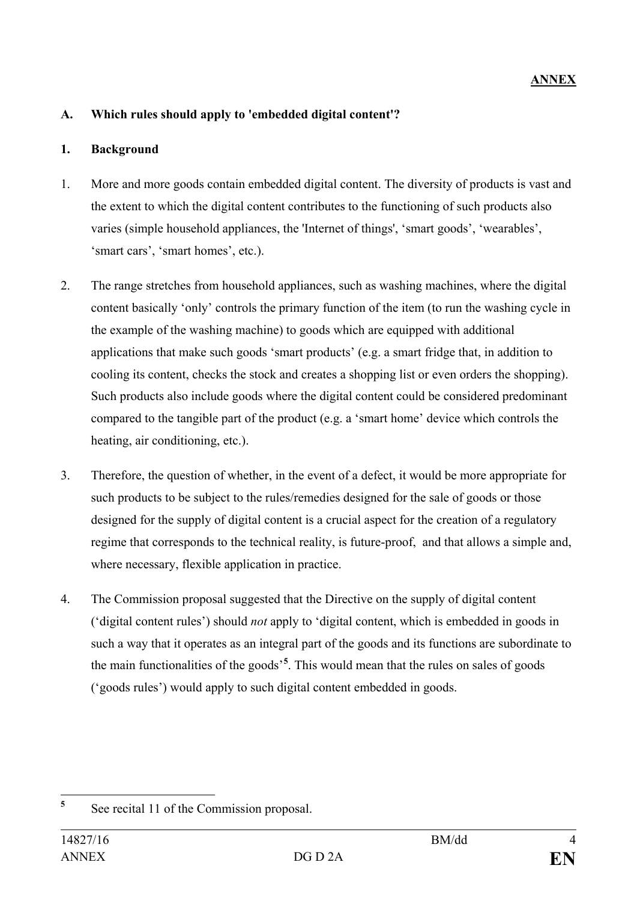## **A. Which rules should apply to 'embedded digital content'?**

#### **1. Background**

- 1. More and more goods contain embedded digital content. The diversity of products is vast and the extent to which the digital content contributes to the functioning of such products also varies (simple household appliances, the 'Internet of things', 'smart goods', 'wearables', 'smart cars', 'smart homes', etc.).
- 2. The range stretches from household appliances, such as washing machines, where the digital content basically 'only' controls the primary function of the item (to run the washing cycle in the example of the washing machine) to goods which are equipped with additional applications that make such goods 'smart products' (e.g. a smart fridge that, in addition to cooling its content, checks the stock and creates a shopping list or even orders the shopping). Such products also include goods where the digital content could be considered predominant compared to the tangible part of the product (e.g. a 'smart home' device which controls the heating, air conditioning, etc.).
- 3. Therefore, the question of whether, in the event of a defect, it would be more appropriate for such products to be subject to the rules/remedies designed for the sale of goods or those designed for the supply of digital content is a crucial aspect for the creation of a regulatory regime that corresponds to the technical reality, is future-proof, and that allows a simple and, where necessary, flexible application in practice.
- 4. The Commission proposal suggested that the Directive on the supply of digital content ('digital content rules') should *not* apply to 'digital content, which is embedded in goods in such a way that it operates as an integral part of the goods and its functions are subordinate to the main functionalities of the goods'**[5](#page-3-0)** . This would mean that the rules on sales of goods ('goods rules') would apply to such digital content embedded in goods.

<span id="page-3-0"></span>**<sup>5</sup>** See recital 11 of the Commission proposal.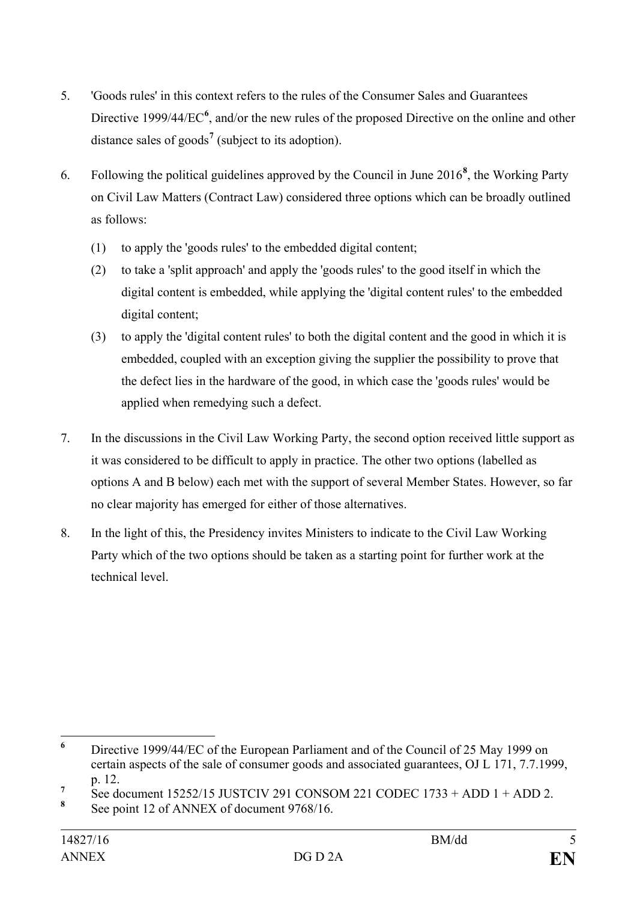- 5. 'Goods rules' in this context refers to the rules of the Consumer Sales and Guarantees Directive 1999/44/EC<sup>[6](#page-4-0)</sup>, and/or the new rules of the proposed Directive on the online and other distance sales of goods**[7](#page-4-1)** (subject to its adoption).
- 6. Following the political guidelines approved by the Council in June 2016**[8](#page-4-2)** , the Working Party on Civil Law Matters (Contract Law) considered three options which can be broadly outlined as follows:
	- (1) to apply the 'goods rules' to the embedded digital content;
	- (2) to take a 'split approach' and apply the 'goods rules' to the good itself in which the digital content is embedded, while applying the 'digital content rules' to the embedded digital content;
	- (3) to apply the 'digital content rules' to both the digital content and the good in which it is embedded, coupled with an exception giving the supplier the possibility to prove that the defect lies in the hardware of the good, in which case the 'goods rules' would be applied when remedying such a defect.
- 7. In the discussions in the Civil Law Working Party, the second option received little support as it was considered to be difficult to apply in practice. The other two options (labelled as options A and B below) each met with the support of several Member States. However, so far no clear majority has emerged for either of those alternatives.
- 8. In the light of this, the Presidency invites Ministers to indicate to the Civil Law Working Party which of the two options should be taken as a starting point for further work at the technical level.

<span id="page-4-0"></span>**<sup>6</sup>** Directive 1999/44/EC of the European Parliament and of the Council of 25 May 1999 on certain aspects of the sale of consumer goods and associated guarantees, OJ L 171, 7.7.1999, p. 12.

<span id="page-4-1"></span><sup>&</sup>lt;sup>7</sup> See document 15252/15 JUSTCIV 291 CONSOM 221 CODEC 1733 + ADD 1 + ADD 2.<br><sup>8</sup> See point 12 of ANNEX of document 9768/16.

<span id="page-4-2"></span>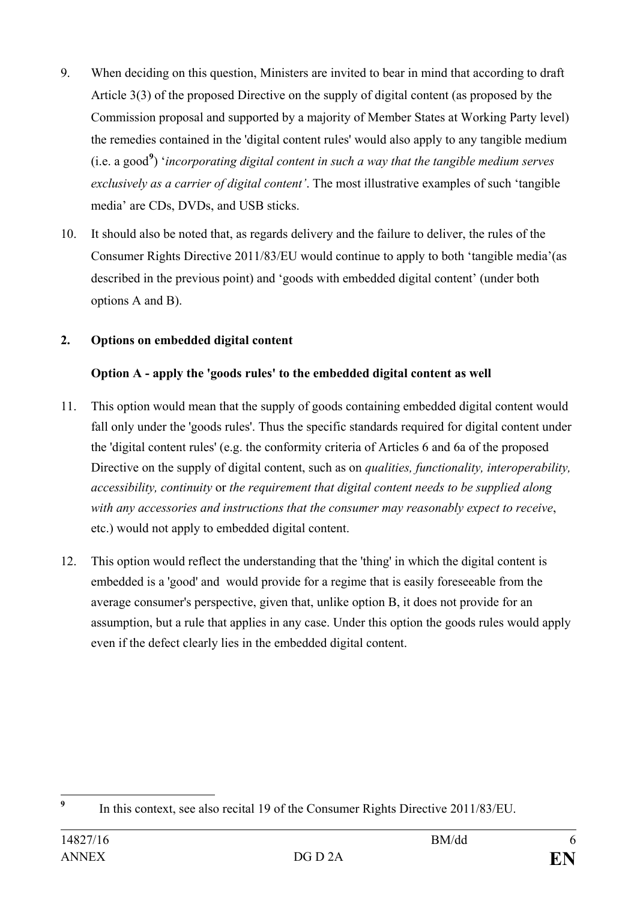- 9. When deciding on this question, Ministers are invited to bear in mind that according to draft Article 3(3) of the proposed Directive on the supply of digital content (as proposed by the Commission proposal and supported by a majority of Member States at Working Party level) the remedies contained in the 'digital content rules' would also apply to any tangible medium (i.e. a good**[9](#page-5-0)** ) '*incorporating digital content in such a way that the tangible medium serves exclusively as a carrier of digital content'*. The most illustrative examples of such 'tangible media' are CDs, DVDs, and USB sticks.
- 10. It should also be noted that, as regards delivery and the failure to deliver, the rules of the Consumer Rights Directive 2011/83/EU would continue to apply to both 'tangible media'(as described in the previous point) and 'goods with embedded digital content' (under both options A and B).

## **2. Options on embedded digital content**

### **Option A - apply the 'goods rules' to the embedded digital content as well**

- 11. This option would mean that the supply of goods containing embedded digital content would fall only under the 'goods rules'. Thus the specific standards required for digital content under the 'digital content rules' (e.g. the conformity criteria of Articles 6 and 6a of the proposed Directive on the supply of digital content, such as on *qualities, functionality, interoperability, accessibility, continuity* or *the requirement that digital content needs to be supplied along with any accessories and instructions that the consumer may reasonably expect to receive*, etc.) would not apply to embedded digital content.
- 12. This option would reflect the understanding that the 'thing' in which the digital content is embedded is a 'good' and would provide for a regime that is easily foreseeable from the average consumer's perspective, given that, unlike option B, it does not provide for an assumption, but a rule that applies in any case. Under this option the goods rules would apply even if the defect clearly lies in the embedded digital content.

<span id="page-5-0"></span><sup>&</sup>lt;sup>9</sup> In this context, see also recital 19 of the Consumer Rights Directive 2011/83/EU.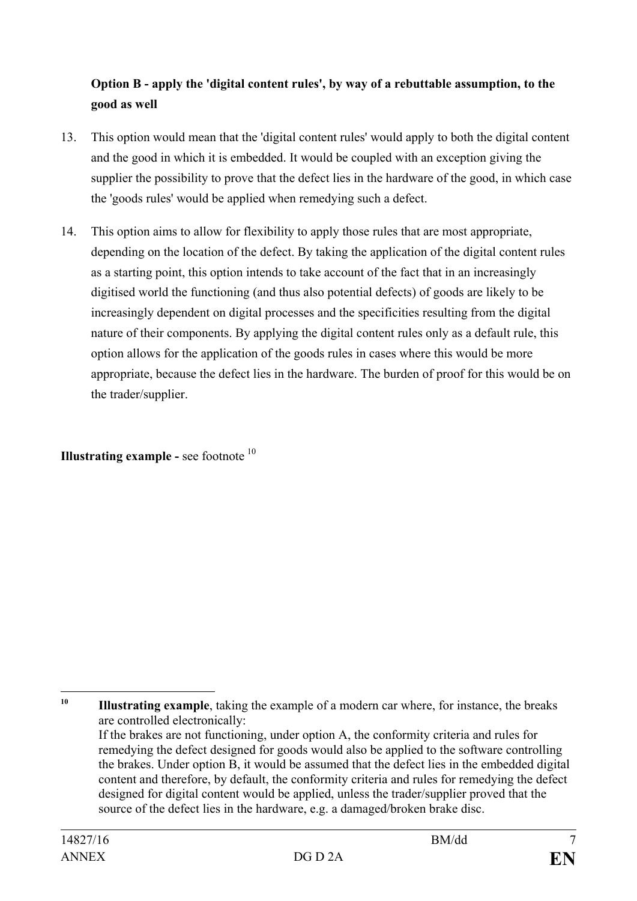## **Option B - apply the 'digital content rules', by way of a rebuttable assumption, to the good as well**

- 13. This option would mean that the 'digital content rules' would apply to both the digital content and the good in which it is embedded. It would be coupled with an exception giving the supplier the possibility to prove that the defect lies in the hardware of the good, in which case the 'goods rules' would be applied when remedying such a defect.
- 14. This option aims to allow for flexibility to apply those rules that are most appropriate, depending on the location of the defect. By taking the application of the digital content rules as a starting point, this option intends to take account of the fact that in an increasingly digitised world the functioning (and thus also potential defects) of goods are likely to be increasingly dependent on digital processes and the specificities resulting from the digital nature of their components. By applying the digital content rules only as a default rule, this option allows for the application of the goods rules in cases where this would be more appropriate, because the defect lies in the hardware. The burden of proof for this would be on the trader/supplier.

**Illustrating example -** see footnote <sup>[10](#page-6-0)</sup>

<span id="page-6-0"></span> $10<sup>10</sup>$ **<sup>10</sup> Illustrating example**, taking the example of a modern car where, for instance, the breaks are controlled electronically:

If the brakes are not functioning, under option A, the conformity criteria and rules for remedying the defect designed for goods would also be applied to the software controlling the brakes. Under option B, it would be assumed that the defect lies in the embedded digital content and therefore, by default, the conformity criteria and rules for remedying the defect designed for digital content would be applied, unless the trader/supplier proved that the source of the defect lies in the hardware, e.g. a damaged/broken brake disc.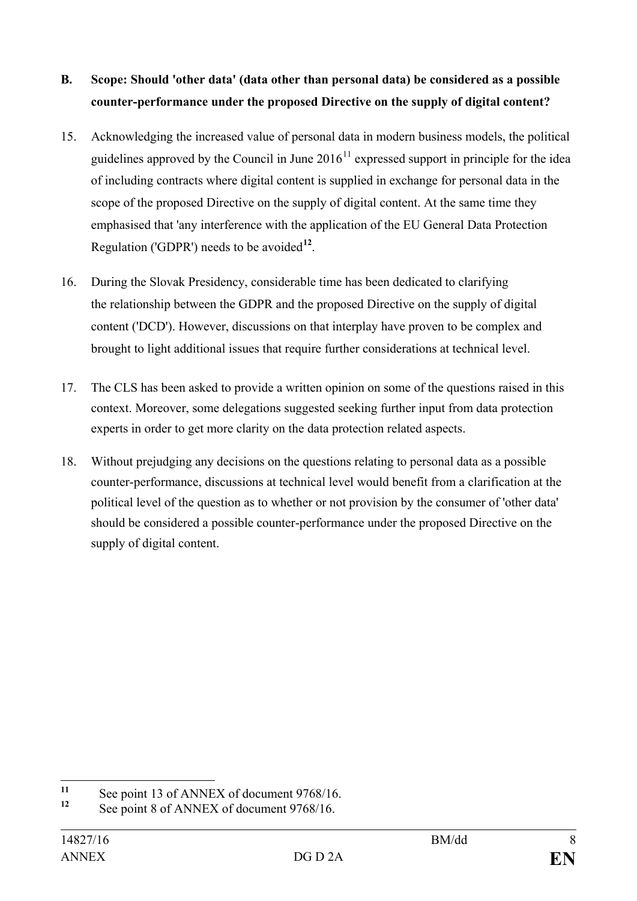# **B. Scope: Should 'other data' (data other than personal data) be considered as a possible counter-performance under the proposed Directive on the supply of digital content?**

- 15. Acknowledging the increased value of personal data in modern business models, the political guidelines approved by the Council in June  $2016<sup>11</sup>$  $2016<sup>11</sup>$  $2016<sup>11</sup>$  expressed support in principle for the idea of including contracts where digital content is supplied in exchange for personal data in the scope of the proposed Directive on the supply of digital content. At the same time they emphasised that 'any interference with the application of the EU General Data Protection Regulation ('GDPR') needs to be avoided**[12](#page-7-1)**.
- 16. During the Slovak Presidency, considerable time has been dedicated to clarifying the relationship between the GDPR and the proposed Directive on the supply of digital content ('DCD'). However, discussions on that interplay have proven to be complex and brought to light additional issues that require further considerations at technical level.
- 17. The CLS has been asked to provide a written opinion on some of the questions raised in this context. Moreover, some delegations suggested seeking further input from data protection experts in order to get more clarity on the data protection related aspects.
- 18. Without prejudging any decisions on the questions relating to personal data as a possible counter-performance, discussions at technical level would benefit from a clarification at the political level of the question as to whether or not provision by the consumer of 'other data' should be considered a possible counter-performance under the proposed Directive on the supply of digital content.

<span id="page-7-0"></span><sup>&</sup>lt;sup>11</sup> See point 13 of ANNEX of document 9768/16.<br><sup>12</sup> See point 8 of ANNEX of document 9768/16.

<span id="page-7-1"></span>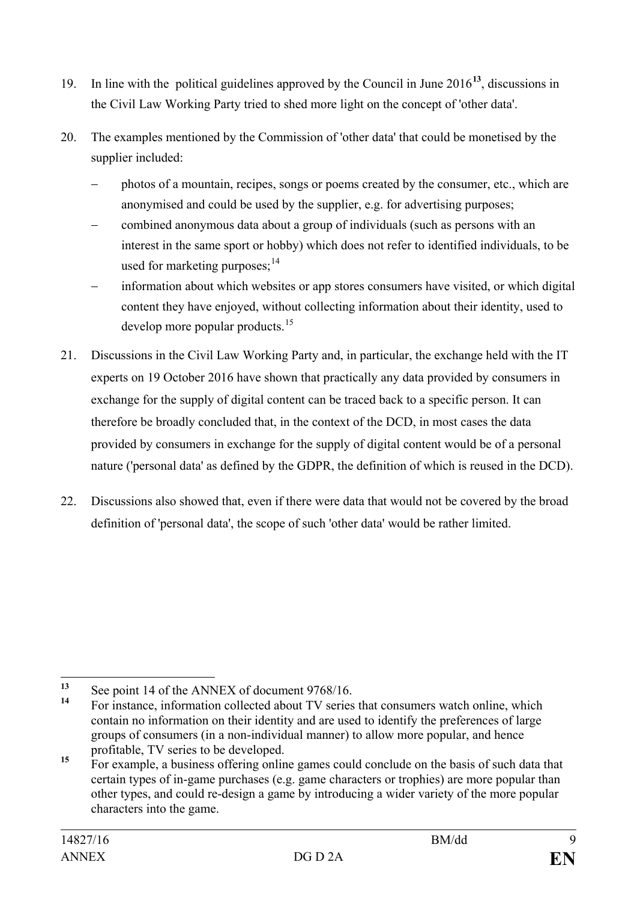- 19. In line with the political guidelines approved by the Council in June 2016**[13](#page-8-0)**, discussions in the Civil Law Working Party tried to shed more light on the concept of 'other data'.
- 20. The examples mentioned by the Commission of 'other data' that could be monetised by the supplier included:
	- − photos of a mountain, recipes, songs or poems created by the consumer, etc., which are anonymised and could be used by the supplier, e.g. for advertising purposes;
	- − combined anonymous data about a group of individuals (such as persons with an interest in the same sport or hobby) which does not refer to identified individuals, to be used for marketing purposes;<sup>[14](#page-8-1)</sup>
	- information about which websites or app stores consumers have visited, or which digital content they have enjoyed, without collecting information about their identity, used to develop more popular products.<sup>[15](#page-8-2)</sup>
- 21. Discussions in the Civil Law Working Party and, in particular, the exchange held with the IT experts on 19 October 2016 have shown that practically any data provided by consumers in exchange for the supply of digital content can be traced back to a specific person. It can therefore be broadly concluded that, in the context of the DCD, in most cases the data provided by consumers in exchange for the supply of digital content would be of a personal nature ('personal data' as defined by the GDPR, the definition of which is reused in the DCD).
- 22. Discussions also showed that, even if there were data that would not be covered by the broad definition of 'personal data', the scope of such 'other data' would be rather limited.

<span id="page-8-0"></span><sup>&</sup>lt;sup>13</sup> See point 14 of the ANNEX of document 9768/16.

<span id="page-8-1"></span>**<sup>14</sup>** For instance, information collected about TV series that consumers watch online, which contain no information on their identity and are used to identify the preferences of large groups of consumers (in a non-individual manner) to allow more popular, and hence profitable, TV series to be developed.

<span id="page-8-2"></span><sup>&</sup>lt;sup>15</sup> For example, a business offering online games could conclude on the basis of such data that certain types of in-game purchases (e.g. game characters or trophies) are more popular than other types, and could re-design a game by introducing a wider variety of the more popular characters into the game.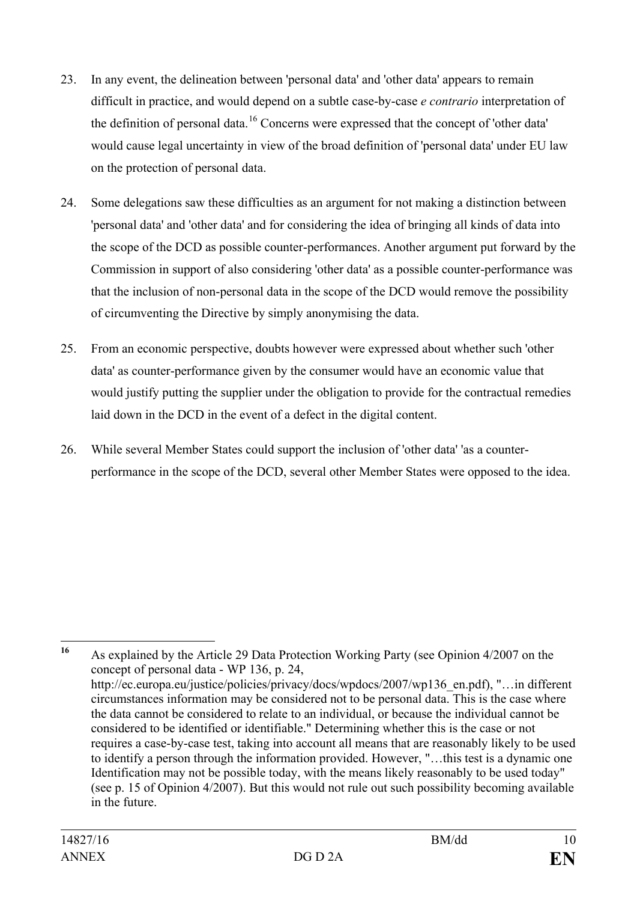- 23. In any event, the delineation between 'personal data' and 'other data' appears to remain difficult in practice, and would depend on a subtle case-by-case *e contrario* interpretation of the definition of personal data.<sup>[16](#page-9-0)</sup> Concerns were expressed that the concept of 'other data' would cause legal uncertainty in view of the broad definition of 'personal data' under EU law on the protection of personal data.
- 24. Some delegations saw these difficulties as an argument for not making a distinction between 'personal data' and 'other data' and for considering the idea of bringing all kinds of data into the scope of the DCD as possible counter-performances. Another argument put forward by the Commission in support of also considering 'other data' as a possible counter-performance was that the inclusion of non-personal data in the scope of the DCD would remove the possibility of circumventing the Directive by simply anonymising the data.
- 25. From an economic perspective, doubts however were expressed about whether such 'other data' as counter-performance given by the consumer would have an economic value that would justify putting the supplier under the obligation to provide for the contractual remedies laid down in the DCD in the event of a defect in the digital content.
- 26. While several Member States could support the inclusion of 'other data' 'as a counterperformance in the scope of the DCD, several other Member States were opposed to the idea.

<span id="page-9-0"></span>**<sup>16</sup>** As explained by the Article 29 Data Protection Working Party (see Opinion 4/2007 on the concept of personal data - WP 136, p. 24, http://ec.europa.eu/justice/policies/privacy/docs/wpdocs/2007/wp136\_en.pdf), "…in different circumstances information may be considered not to be personal data. This is the case where the data cannot be considered to relate to an individual, or because the individual cannot be considered to be identified or identifiable." Determining whether this is the case or not requires a case-by-case test, taking into account all means that are reasonably likely to be used to identify a person through the information provided. However, "…this test is a dynamic one Identification may not be possible today, with the means likely reasonably to be used today" (see p. 15 of Opinion 4/2007). But this would not rule out such possibility becoming available in the future.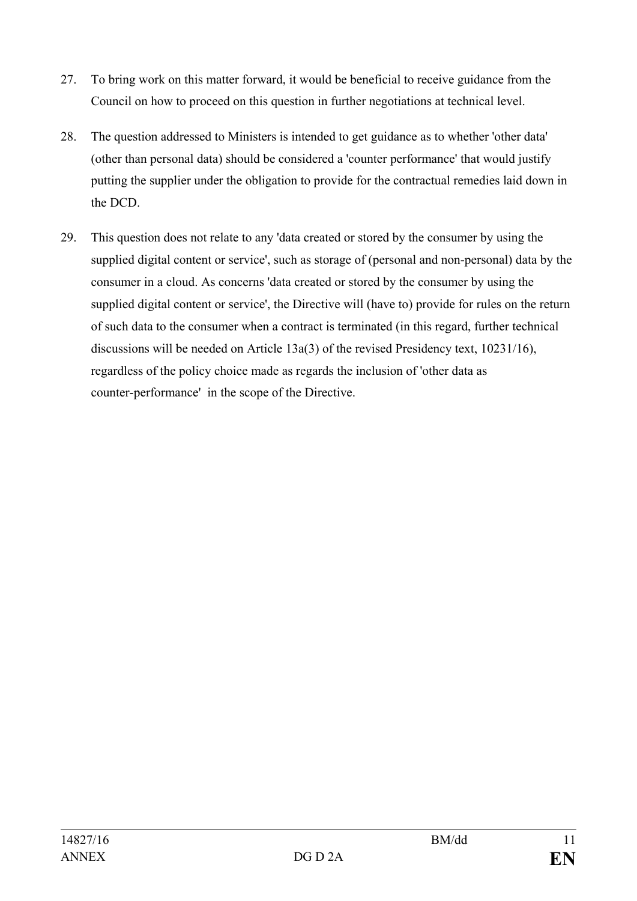- 27. To bring work on this matter forward, it would be beneficial to receive guidance from the Council on how to proceed on this question in further negotiations at technical level.
- 28. The question addressed to Ministers is intended to get guidance as to whether 'other data' (other than personal data) should be considered a 'counter performance' that would justify putting the supplier under the obligation to provide for the contractual remedies laid down in the DCD.
- 29. This question does not relate to any 'data created or stored by the consumer by using the supplied digital content or service', such as storage of (personal and non-personal) data by the consumer in a cloud. As concerns 'data created or stored by the consumer by using the supplied digital content or service', the Directive will (have to) provide for rules on the return of such data to the consumer when a contract is terminated (in this regard, further technical discussions will be needed on Article 13a(3) of the revised Presidency text, 10231/16), regardless of the policy choice made as regards the inclusion of 'other data as counter-performance' in the scope of the Directive.